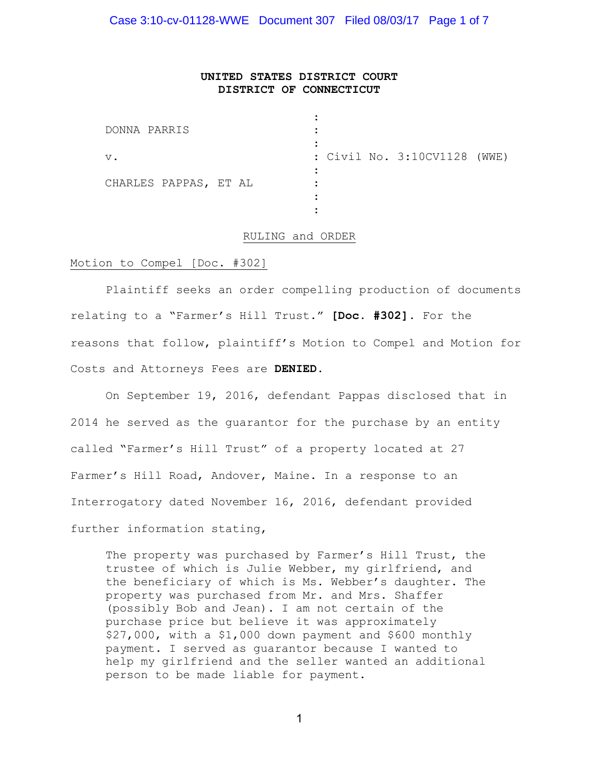Case 3:10-cv-01128-WWE Document 307 Filed 08/03/17 Page 1 of 7

# **UNITED STATES DISTRICT COURT DISTRICT OF CONNECTICUT**

| DONNA PARRIS          |                              |
|-----------------------|------------------------------|
| $V$ .                 | : Civil No. 3:10CV1128 (WWE) |
| CHARLES PAPPAS, ET AL |                              |
|                       |                              |

## RULING and ORDER

## Motion to Compel [Doc. #302]

Plaintiff seeks an order compelling production of documents relating to a "Farmer's Hill Trust." **[Doc. #302].** For the reasons that follow, plaintiff's Motion to Compel and Motion for Costs and Attorneys Fees are **DENIED**.

On September 19, 2016, defendant Pappas disclosed that in 2014 he served as the guarantor for the purchase by an entity called "Farmer's Hill Trust" of a property located at 27 Farmer's Hill Road, Andover, Maine. In a response to an Interrogatory dated November 16, 2016, defendant provided further information stating,

The property was purchased by Farmer's Hill Trust, the trustee of which is Julie Webber, my girlfriend, and the beneficiary of which is Ms. Webber's daughter. The property was purchased from Mr. and Mrs. Shaffer (possibly Bob and Jean). I am not certain of the purchase price but believe it was approximately \$27,000, with a \$1,000 down payment and \$600 monthly payment. I served as guarantor because I wanted to help my girlfriend and the seller wanted an additional person to be made liable for payment.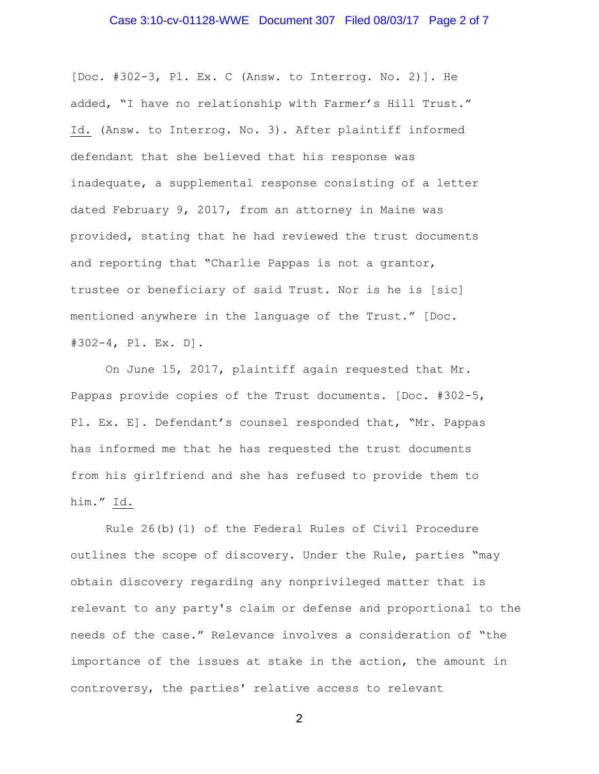# Case 3:10-cv-01128-WWE Document 307 Filed 08/03/17 Page 2 of 7

[Doc. #302-3, Pl. Ex. C (Answ. to Interrog. No. 2)]. He added, "I have no relationship with Farmer's Hill Trust." Id. (Answ. to Interrog. No. 3). After plaintiff informed defendant that she believed that his response was inadequate, a supplemental response consisting of a letter dated February 9, 2017, from an attorney in Maine was provided, stating that he had reviewed the trust documents and reporting that "Charlie Pappas is not a grantor, trustee or beneficiary of said Trust. Nor is he is [sic] mentioned anywhere in the language of the Trust." [Doc. #302-4, Pl. Ex. D].

On June 15, 2017, plaintiff again requested that Mr. Pappas provide copies of the Trust documents. [Doc. #302-5, Pl. Ex. E]. Defendant's counsel responded that, "Mr. Pappas has informed me that he has requested the trust documents from his girlfriend and she has refused to provide them to him." Id.

Rule 26(b)(1) of the Federal Rules of Civil Procedure outlines the scope of discovery. Under the Rule, parties "may obtain discovery regarding any nonprivileged matter that is relevant to any party's claim or defense and proportional to the needs of the case." Relevance involves a consideration of "the importance of the issues at stake in the action, the amount in controversy, the parties' relative access to relevant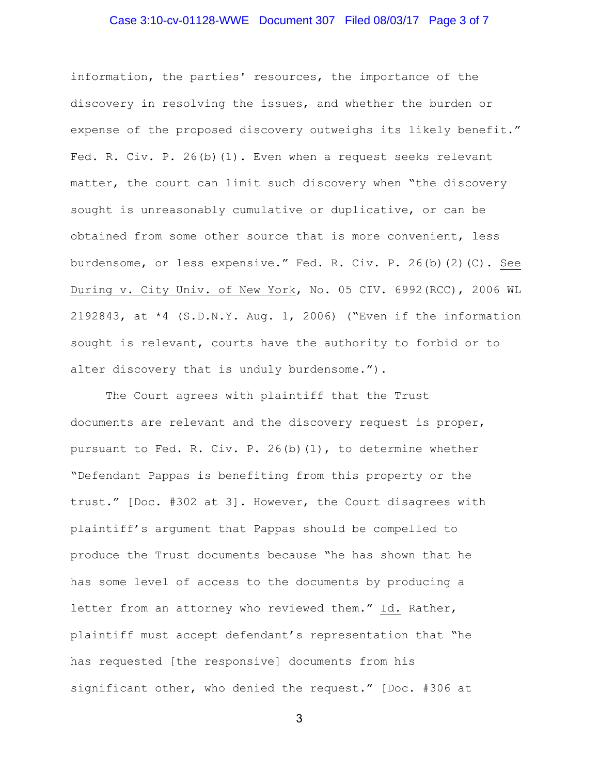# Case 3:10-cv-01128-WWE Document 307 Filed 08/03/17 Page 3 of 7

information, the parties' resources, the importance of the discovery in resolving the issues, and whether the burden or expense of the proposed discovery outweighs its likely benefit." Fed. R. Civ. P. 26(b)(1). Even when a request seeks relevant matter, the court can limit such discovery when "the discovery sought is unreasonably cumulative or duplicative, or can be obtained from some other source that is more convenient, less burdensome, or less expensive." Fed. R. Civ. P. 26(b)(2)(C). See During v. City Univ. of New York, No. 05 CIV. 6992(RCC), 2006 WL 2192843, at \*4 (S.D.N.Y. Aug. 1, 2006) ("Even if the information sought is relevant, courts have the authority to forbid or to alter discovery that is unduly burdensome.").

The Court agrees with plaintiff that the Trust documents are relevant and the discovery request is proper, pursuant to Fed. R. Civ. P. 26(b)(1), to determine whether "Defendant Pappas is benefiting from this property or the trust." [Doc. #302 at 3]. However, the Court disagrees with plaintiff's argument that Pappas should be compelled to produce the Trust documents because "he has shown that he has some level of access to the documents by producing a letter from an attorney who reviewed them." Id. Rather, plaintiff must accept defendant's representation that "he has requested [the responsive] documents from his significant other, who denied the request." [Doc. #306 at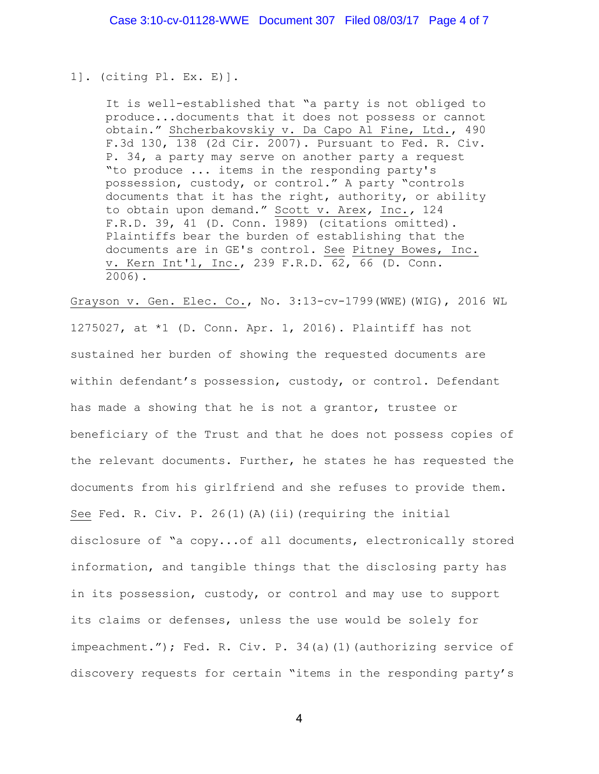#### 1]. (citing Pl. Ex. E)].

It is well-established that "a party is not obliged to produce...documents that it does not possess or cannot obtain." Shcherbakovskiy v. Da Capo Al Fine, Ltd., 490 F.3d 130, 138 (2d Cir. 2007). Pursuant to Fed. R. Civ. P. 34, a party may serve on another party a request "to produce ... items in the responding party's possession, custody, or control." A party "controls documents that it has the right, authority, or ability to obtain upon demand." Scott v. Arex*,* Inc.*,* 124 F.R.D. 39, 41 (D. Conn.  $1989$ ) (citations omitted). Plaintiffs bear the burden of establishing that the documents are in GE's control. See Pitney Bowes, Inc. v. Kern Int'l, Inc., 239 F.R.D. 62, 66 (D. Conn. 2006).

Grayson v. Gen. Elec. Co., No. 3:13-cv-1799(WWE)(WIG), 2016 WL 1275027, at \*1 (D. Conn. Apr. 1, 2016). Plaintiff has not sustained her burden of showing the requested documents are within defendant's possession, custody, or control. Defendant has made a showing that he is not a grantor, trustee or beneficiary of the Trust and that he does not possess copies of the relevant documents. Further, he states he has requested the documents from his girlfriend and she refuses to provide them. See Fed. R. Civ. P. 26(1)(A)(ii)(requiring the initial disclosure of "a copy...of all documents, electronically stored information, and tangible things that the disclosing party has in its possession, custody, or control and may use to support its claims or defenses, unless the use would be solely for impeachment."); Fed. R. Civ. P. 34(a)(1)(authorizing service of discovery requests for certain "items in the responding party's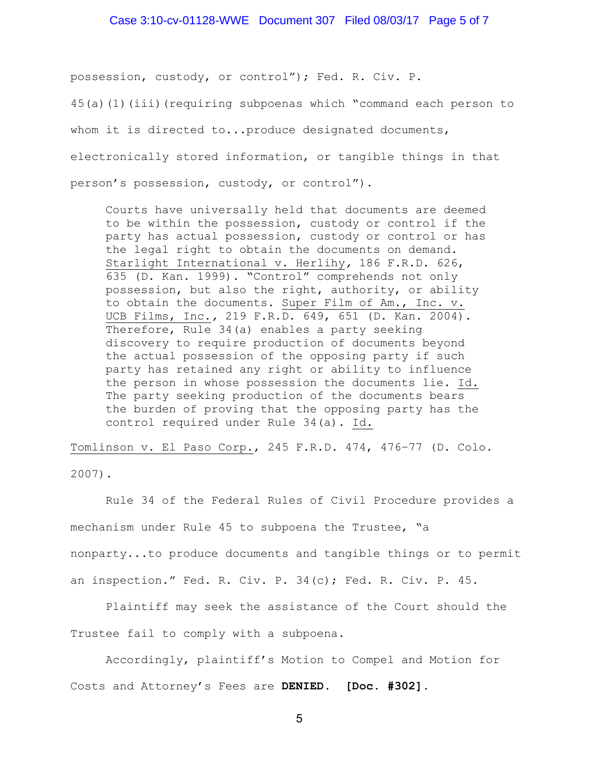## Case 3:10-cv-01128-WWE Document 307 Filed 08/03/17 Page 5 of 7

possession, custody, or control"); Fed. R. Civ. P.

45(a)(1)(iii)(requiring subpoenas which "command each person to

whom it is directed to...produce designated documents,

electronically stored information, or tangible things in that

person's possession, custody, or control").

Courts have universally held that documents are deemed to be within the possession, custody or control if the party has actual possession, custody or control or has the legal right to obtain the documents on demand. Starlight International v. Herlihy*,* 186 F.R.D. 626, 635 (D. Kan. 1999). "Control" comprehends not only possession, but also the right, authority, or ability to obtain the documents. Super Film of Am., Inc. v. UCB Films, Inc.*,* 219 F.R.D. 649, 651 (D. Kan. 2004). Therefore, Rule 34(a) enables a party seeking discovery to require production of documents beyond the actual possession of the opposing party if such party has retained any right or ability to influence the person in whose possession the documents lie. Id. The party seeking production of the documents bears the burden of proving that the opposing party has the control required under Rule 34(a). Id.

Tomlinson v. El Paso Corp., 245 F.R.D. 474, 476–77 (D. Colo.

2007).

Rule 34 of the Federal Rules of Civil Procedure provides a mechanism under Rule 45 to subpoena the Trustee, "a nonparty...to produce documents and tangible things or to permit an inspection." Fed. R. Civ. P. 34(c); Fed. R. Civ. P. 45.

Plaintiff may seek the assistance of the Court should the Trustee fail to comply with a subpoena.

Accordingly, plaintiff's Motion to Compel and Motion for Costs and Attorney's Fees are **DENIED**. **[Doc. #302].**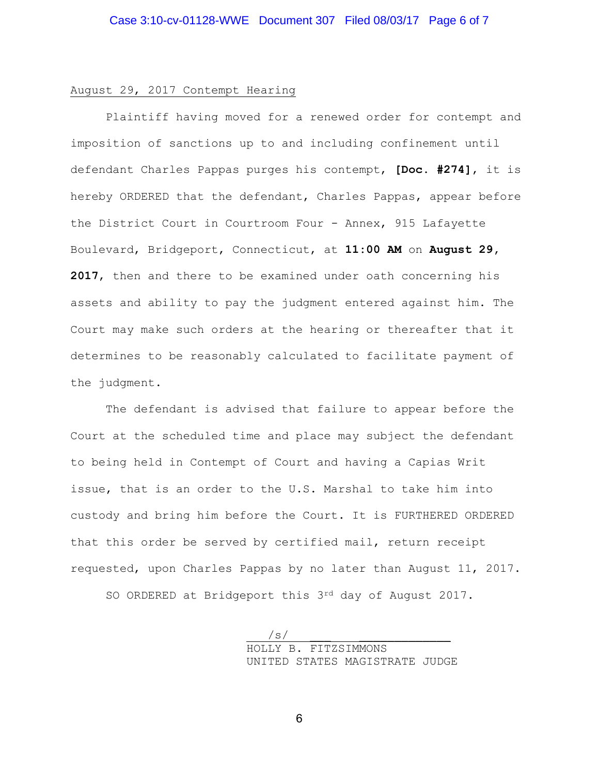# August 29, 2017 Contempt Hearing

Plaintiff having moved for a renewed order for contempt and imposition of sanctions up to and including confinement until defendant Charles Pappas purges his contempt, **[Doc. #274]**, it is hereby ORDERED that the defendant, Charles Pappas, appear before the District Court in Courtroom Four - Annex, 915 Lafayette Boulevard, Bridgeport, Connecticut, at **11:00 AM** on **August 29, 2017**, then and there to be examined under oath concerning his assets and ability to pay the judgment entered against him. The Court may make such orders at the hearing or thereafter that it determines to be reasonably calculated to facilitate payment of the judgment.

The defendant is advised that failure to appear before the Court at the scheduled time and place may subject the defendant to being held in Contempt of Court and having a Capias Writ issue, that is an order to the U.S. Marshal to take him into custody and bring him before the Court. It is FURTHERED ORDERED that this order be served by certified mail, return receipt requested, upon Charles Pappas by no later than August 11, 2017.

SO ORDERED at Bridgeport this 3rd day of August 2017.

 $\sqrt{s/2}$ HOLLY B. FITZSIMMONS UNITED STATES MAGISTRATE JUDGE